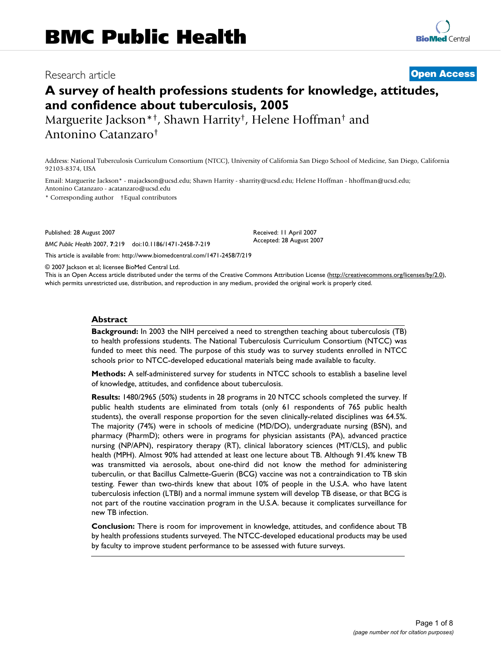# Research article **[Open Access](http://www.biomedcentral.com/info/about/charter/)**

# **A survey of health professions students for knowledge, attitudes, and confidence about tuberculosis, 2005**

Marguerite Jackson\*†, Shawn Harrity†, Helene Hoffman† and Antonino Catanzaro†

Address: National Tuberculosis Curriculum Consortium (NTCC), University of California San Diego School of Medicine, San Diego, California 92103-8374, USA

Email: Marguerite Jackson\* - majackson@ucsd.edu; Shawn Harrity - sharrity@ucsd.edu; Helene Hoffman - hhoffman@ucsd.edu; Antonino Catanzaro - acatanzaro@ucsd.edu

\* Corresponding author †Equal contributors

Published: 28 August 2007

*BMC Public Health* 2007, **7**:219 doi:10.1186/1471-2458-7-219

[This article is available from: http://www.biomedcentral.com/1471-2458/7/219](http://www.biomedcentral.com/1471-2458/7/219)

© 2007 Jackson et al; licensee BioMed Central Ltd.

This is an Open Access article distributed under the terms of the Creative Commons Attribution License [\(http://creativecommons.org/licenses/by/2.0\)](http://creativecommons.org/licenses/by/2.0), which permits unrestricted use, distribution, and reproduction in any medium, provided the original work is properly cited.

Received: 11 April 2007 Accepted: 28 August 2007

#### **Abstract**

**Background:** In 2003 the NIH perceived a need to strengthen teaching about tuberculosis (TB) to health professions students. The National Tuberculosis Curriculum Consortium (NTCC) was funded to meet this need. The purpose of this study was to survey students enrolled in NTCC schools prior to NTCC-developed educational materials being made available to faculty.

**Methods:** A self-administered survey for students in NTCC schools to establish a baseline level of knowledge, attitudes, and confidence about tuberculosis.

**Results:** 1480/2965 (50%) students in 28 programs in 20 NTCC schools completed the survey. If public health students are eliminated from totals (only 61 respondents of 765 public health students), the overall response proportion for the seven clinically-related disciplines was 64.5%. The majority (74%) were in schools of medicine (MD/DO), undergraduate nursing (BSN), and pharmacy (PharmD); others were in programs for physician assistants (PA), advanced practice nursing (NP/APN), respiratory therapy (RT), clinical laboratory sciences (MT/CLS), and public health (MPH). Almost 90% had attended at least one lecture about TB. Although 91.4% knew TB was transmitted via aerosols, about one-third did not know the method for administering tuberculin, or that Bacillus Calmette-Guerin (BCG) vaccine was not a contraindication to TB skin testing. Fewer than two-thirds knew that about 10% of people in the U.S.A. who have latent tuberculosis infection (LTBI) and a normal immune system will develop TB disease, or that BCG is not part of the routine vaccination program in the U.S.A. because it complicates surveillance for new TB infection.

**Conclusion:** There is room for improvement in knowledge, attitudes, and confidence about TB by health professions students surveyed. The NTCC-developed educational products may be used by faculty to improve student performance to be assessed with future surveys.

> Page 1 of 8 *(page number not for citation purposes)*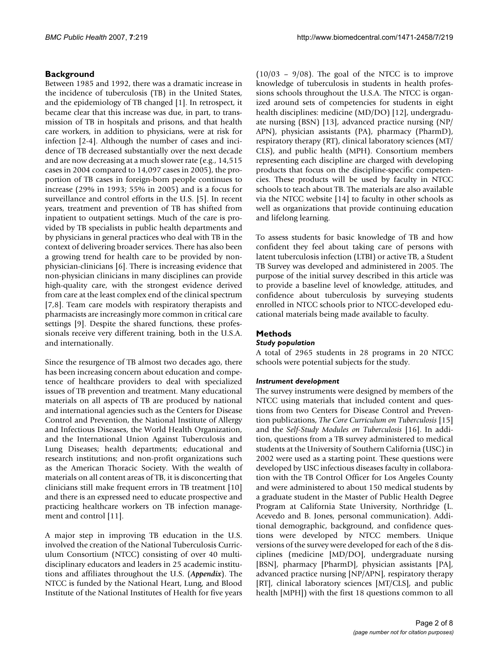# **Background**

Between 1985 and 1992, there was a dramatic increase in the incidence of tuberculosis (TB) in the United States, and the epidemiology of TB changed [1]. In retrospect, it became clear that this increase was due, in part, to transmission of TB in hospitals and prisons, and that health care workers, in addition to physicians, were at risk for infection [2-4]. Although the number of cases and incidence of TB decreased substantially over the next decade and are now decreasing at a much slower rate (e.g., 14,515 cases in 2004 compared to 14,097 cases in 2005), the proportion of TB cases in foreign-born people continues to increase (29% in 1993; 55% in 2005) and is a focus for surveillance and control efforts in the U.S. [5]. In recent years, treatment and prevention of TB has shifted from inpatient to outpatient settings. Much of the care is provided by TB specialists in public health departments and by physicians in general practices who deal with TB in the context of delivering broader services. There has also been a growing trend for health care to be provided by nonphysician-clinicians [6]. There is increasing evidence that non-physician clinicians in many disciplines can provide high-quality care, with the strongest evidence derived from care at the least complex end of the clinical spectrum [7,8]. Team care models with respiratory therapists and pharmacists are increasingly more common in critical care settings [9]. Despite the shared functions, these professionals receive very different training, both in the U.S.A. and internationally.

Since the resurgence of TB almost two decades ago, there has been increasing concern about education and competence of healthcare providers to deal with specialized issues of TB prevention and treatment. Many educational materials on all aspects of TB are produced by national and international agencies such as the Centers for Disease Control and Prevention, the National Institute of Allergy and Infectious Diseases, the World Health Organization, and the International Union Against Tuberculosis and Lung Diseases; health departments; educational and research institutions; and non-profit organizations such as the American Thoracic Society. With the wealth of materials on all content areas of TB, it is disconcerting that clinicians still make frequent errors in TB treatment [10] and there is an expressed need to educate prospective and practicing healthcare workers on TB infection management and control [11].

A major step in improving TB education in the U.S. involved the creation of the National Tuberculosis Curriculum Consortium (NTCC) consisting of over 40 multidisciplinary educators and leaders in 25 academic institutions and affiliates throughout the U.S. (*Appendix*). The NTCC is funded by the National Heart, Lung, and Blood Institute of the National Institutes of Health for five years

 $(10/03 - 9/08)$ . The goal of the NTCC is to improve knowledge of tuberculosis in students in health professions schools throughout the U.S.A. The NTCC is organized around sets of competencies for students in eight health disciplines: medicine (MD/DO) [12], undergraduate nursing (BSN) [13], advanced practice nursing (NP/ APN), physician assistants (PA), pharmacy (PharmD), respiratory therapy (RT), clinical laboratory sciences (MT/ CLS), and public health (MPH). Consortium members representing each discipline are charged with developing products that focus on the discipline-specific competencies. These products will be used by faculty in NTCC schools to teach about TB. The materials are also available via the NTCC website [14] to faculty in other schools as well as organizations that provide continuing education and lifelong learning.

To assess students for basic knowledge of TB and how confident they feel about taking care of persons with latent tuberculosis infection (LTBI) or active TB, a Student TB Survey was developed and administered in 2005. The purpose of the initial survey described in this article was to provide a baseline level of knowledge, attitudes, and confidence about tuberculosis by surveying students enrolled in NTCC schools prior to NTCC-developed educational materials being made available to faculty.

### **Methods**

### *Study population*

A total of 2965 students in 28 programs in 20 NTCC schools were potential subjects for the study.

### *Instrument development*

The survey instruments were designed by members of the NTCC using materials that included content and questions from two Centers for Disease Control and Prevention publications, *The Core Curriculum on Tuberculosis* [15] and the *Self-Study Modules on Tuberculosis* [16]. In addition, questions from a TB survey administered to medical students at the University of Southern California (USC) in 2002 were used as a starting point. These questions were developed by USC infectious diseases faculty in collaboration with the TB Control Officer for Los Angeles County and were administered to about 150 medical students by a graduate student in the Master of Public Health Degree Program at California State University, Northridge (L. Acevedo and B. Jones, personal communication). Additional demographic, background, and confidence questions were developed by NTCC members. Unique versions of the survey were developed for each of the 8 disciplines (medicine [MD/DO], undergraduate nursing [BSN], pharmacy [PharmD], physician assistants [PA], advanced practice nursing [NP/APN], respiratory therapy [RT], clinical laboratory sciences [MT/CLS], and public health [MPH]) with the first 18 questions common to all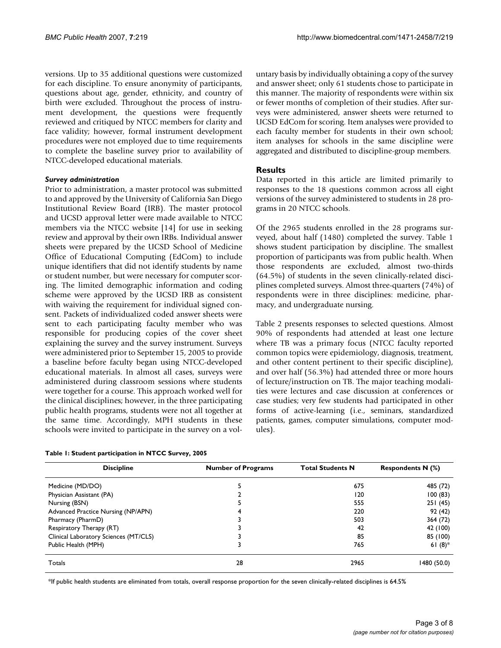versions. Up to 35 additional questions were customized for each discipline. To ensure anonymity of participants, questions about age, gender, ethnicity, and country of birth were excluded. Throughout the process of instrument development, the questions were frequently reviewed and critiqued by NTCC members for clarity and face validity; however, formal instrument development procedures were not employed due to time requirements to complete the baseline survey prior to availability of NTCC-developed educational materials.

#### *Survey administration*

Prior to administration, a master protocol was submitted to and approved by the University of California San Diego Institutional Review Board (IRB). The master protocol and UCSD approval letter were made available to NTCC members via the NTCC website [14] for use in seeking review and approval by their own IRBs. Individual answer sheets were prepared by the UCSD School of Medicine Office of Educational Computing (EdCom) to include unique identifiers that did not identify students by name or student number, but were necessary for computer scoring. The limited demographic information and coding scheme were approved by the UCSD IRB as consistent with waiving the requirement for individual signed consent. Packets of individualized coded answer sheets were sent to each participating faculty member who was responsible for producing copies of the cover sheet explaining the survey and the survey instrument. Surveys were administered prior to September 15, 2005 to provide a baseline before faculty began using NTCC-developed educational materials. In almost all cases, surveys were administered during classroom sessions where students were together for a course. This approach worked well for the clinical disciplines; however, in the three participating public health programs, students were not all together at the same time. Accordingly, MPH students in these schools were invited to participate in the survey on a vol-

| Table 1: Student participation in NTCC Survey, 2005 |  |  |  |
|-----------------------------------------------------|--|--|--|
|-----------------------------------------------------|--|--|--|

untary basis by individually obtaining a copy of the survey and answer sheet; only 61 students chose to participate in this manner. The majority of respondents were within six or fewer months of completion of their studies. After surveys were administered, answer sheets were returned to UCSD EdCom for scoring. Item analyses were provided to each faculty member for students in their own school; item analyses for schools in the same discipline were aggregated and distributed to discipline-group members.

### **Results**

Data reported in this article are limited primarily to responses to the 18 questions common across all eight versions of the survey administered to students in 28 programs in 20 NTCC schools.

Of the 2965 students enrolled in the 28 programs surveyed, about half (1480) completed the survey. Table 1 shows student participation by discipline. The smallest proportion of participants was from public health. When those respondents are excluded, almost two-thirds (64.5%) of students in the seven clinically-related disciplines completed surveys. Almost three-quarters (74%) of respondents were in three disciplines: medicine, pharmacy, and undergraduate nursing.

Table 2 presents responses to selected questions. Almost 90% of respondents had attended at least one lecture where TB was a primary focus (NTCC faculty reported common topics were epidemiology, diagnosis, treatment, and other content pertinent to their specific discipline), and over half (56.3%) had attended three or more hours of lecture/instruction on TB. The major teaching modalities were lectures and case discussion at conferences or case studies; very few students had participated in other forms of active-learning (i.e., seminars, standardized patients, games, computer simulations, computer modules).

| <b>Discipline</b>                     | <b>Number of Programs</b> | <b>Total Students N</b> | <b>Respondents N (%)</b> |  |
|---------------------------------------|---------------------------|-------------------------|--------------------------|--|
| Medicine (MD/DO)                      |                           | 675                     | 485 (72)                 |  |
| Physician Assistant (PA)              |                           | 120                     | 100(83)                  |  |
| Nursing (BSN)                         |                           | 555                     | 251(45)                  |  |
| Advanced Practice Nursing (NP/APN)    |                           | 220                     | 92(42)                   |  |
| Pharmacy (PharmD)                     |                           | 503                     | 364 (72)                 |  |
| Respiratory Therapy (RT)              |                           | 42                      | 42 (100)                 |  |
| Clinical Laboratory Sciences (MT/CLS) |                           | 85                      | 85 (100)                 |  |
| Public Health (MPH)                   |                           | 765                     | 61 $(8)$ <sup>*</sup>    |  |
| Totals                                | 28                        | 2965                    | 1480 (50.0)              |  |

\*If public health students are eliminated from totals, overall response proportion for the seven clinically-related disciplines is 64.5%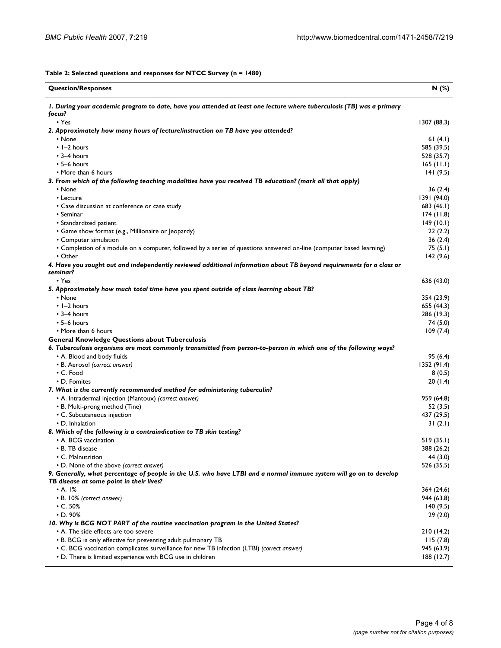**Table 2: Selected questions and responses for NTCC Survey (n = 1480)**

| <b>Question/Responses</b>                                                                                                        | N (%)        |
|----------------------------------------------------------------------------------------------------------------------------------|--------------|
| I. During your academic program to date, have you attended at least one lecture where tuberculosis (TB) was a primary<br>focus?  |              |
| $\cdot$ Yes                                                                                                                      | 1307 (88.3)  |
| 2. Approximately how many hours of lecturelinstruction on TB have you attended?                                                  |              |
| • None                                                                                                                           | 61 $(4.1)$   |
| $\cdot$ 1-2 hours                                                                                                                | 585 (39.5)   |
| $\cdot$ 3-4 hours                                                                                                                | 528 (35.7)   |
| $\cdot$ 5–6 hours                                                                                                                | $165$ (11.1) |
| • More than 6 hours                                                                                                              | 141(9.5)     |
| 3. From which of the following teaching modalities have you received TB education? (mark all that apply)                         |              |
| • None                                                                                                                           | 36(2.4)      |
| • Lecture                                                                                                                        | 1391 (94.0)  |
| • Case discussion at conference or case study                                                                                    | 683 (46.1)   |
| • Seminar                                                                                                                        | 174(11.8)    |
| • Standardized patient                                                                                                           | 149(10.1)    |
| • Game show format (e.g., Millionaire or Jeopardy)                                                                               | 22(2.2)      |
| • Computer simulation                                                                                                            | 36(2.4)      |
| • Completion of a module on a computer, followed by a series of questions answered on-line (computer based learning)             | 75(5.1)      |
| $\cdot$ Other                                                                                                                    | 142 (9.6)    |
| 4. Have you sought out and independently reviewed additional information about TB beyond requirements for a class or<br>seminar? |              |
| $\cdot$ Yes                                                                                                                      | 636 (43.0)   |
| 5. Approximately how much total time have you spent outside of class learning about TB?                                          |              |
| • None                                                                                                                           | 354 (23.9)   |
| $\cdot$ 1-2 hours                                                                                                                | 655 (44.3)   |
| $\cdot$ 3–4 hours                                                                                                                | 286 (19.3)   |
| $\cdot$ 5-6 hours                                                                                                                | 74 (5.0)     |
| • More than 6 hours                                                                                                              | 109(7.4)     |
| <b>General Knowledge Questions about Tuberculosis</b>                                                                            |              |
| 6. Tuberculosis organisms are most commonly transmitted from person-to-person in which one of the following ways?                |              |
| • A. Blood and body fluids                                                                                                       | 95(6.4)      |
| • B. Aerosol (correct answer)                                                                                                    | 1352(91.4)   |
| • C. Food                                                                                                                        | 8(0.5)       |
| • D. Fomites                                                                                                                     | 20(1.4)      |
| 7. What is the currently recommended method for administering tuberculin?                                                        |              |
| • A. Intradermal injection (Mantoux) (correct answer)                                                                            | 959 (64.8)   |
| • B. Multi-prong method (Tine)                                                                                                   | 52 (3.5)     |
| • C. Subcutaneous injection                                                                                                      | 437 (29.5)   |
| • D. Inhalation                                                                                                                  | 31(2.1)      |
| 8. Which of the following is a contraindication to TB skin testing?                                                              |              |
| • A. BCG vaccination                                                                                                             | 519(35.1)    |
| • B. TB disease                                                                                                                  | 388 (26.2)   |
| • C. Malnutrition                                                                                                                | 44 (3.0)     |
| • D. None of the above (correct answer)                                                                                          | 526 (35.5)   |
| 9. Generally, what percentage of people in the U.S. who have LTBI and a normal immune system will go on to develop               |              |
| TB disease at some point in their lives?                                                                                         |              |
| • A. I%                                                                                                                          | 364 (24.6)   |
| • B. 10% (correct answer)                                                                                                        | 944 (63.8)   |
| $\cdot$ C. 50%                                                                                                                   | 140(9.5)     |
| $\cdot$ D. 90%                                                                                                                   | 29(2.0)      |
| 10. Why is BCG NOT PART of the routine vaccination program in the United States?                                                 |              |
| • A. The side effects are too severe                                                                                             | 210(14.2)    |
| • B. BCG is only effective for preventing adult pulmonary TB                                                                     | 115(7.8)     |
| • C. BCG vaccination complicates surveillance for new TB infection (LTBI) (correct answer)                                       | 945 (63.9)   |
| • D. There is limited experience with BCG use in children                                                                        | 188 (12.7)   |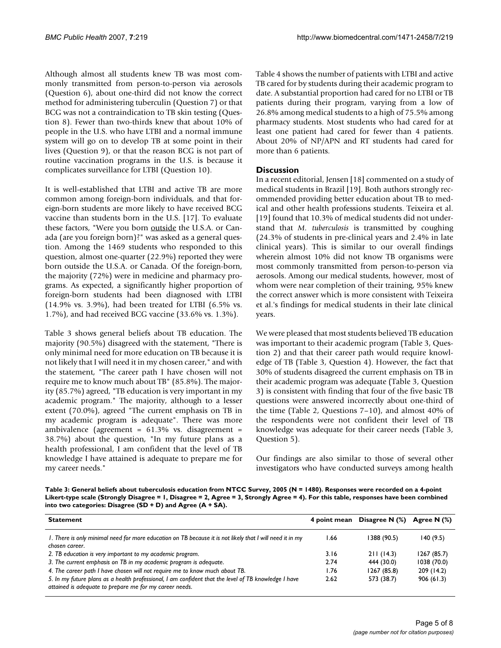Although almost all students knew TB was most commonly transmitted from person-to-person via aerosols (Question 6), about one-third did not know the correct method for administering tuberculin (Question 7) or that BCG was not a contraindication to TB skin testing (Question 8). Fewer than two-thirds knew that about 10% of people in the U.S. who have LTBI and a normal immune system will go on to develop TB at some point in their lives (Question 9), or that the reason BCG is not part of routine vaccination programs in the U.S. is because it complicates surveillance for LTBI (Question 10).

It is well-established that LTBI and active TB are more common among foreign-born individuals, and that foreign-born students are more likely to have received BCG vaccine than students born in the U.S. [17]. To evaluate these factors, "Were you born outside the U.S.A. or Canada (are you foreign born)?" was asked as a general question. Among the 1469 students who responded to this question, almost one-quarter (22.9%) reported they were born outside the U.S.A. or Canada. Of the foreign-born, the majority (72%) were in medicine and pharmacy programs. As expected, a significantly higher proportion of foreign-born students had been diagnosed with LTBI (14.9% vs. 3.9%), had been treated for LTBI (6.5% vs. 1.7%), and had received BCG vaccine (33.6% vs. 1.3%).

Table 3 shows general beliefs about TB education. The majority (90.5%) disagreed with the statement, "There is only minimal need for more education on TB because it is not likely that I will need it in my chosen career," and with the statement, "The career path I have chosen will not require me to know much about TB" (85.8%). The majority (85.7%) agreed, "TB education is very important in my academic program." The majority, although to a lesser extent (70.0%), agreed "The current emphasis on TB in my academic program is adequate". There was more ambivalence (agreement = 61.3% vs. disagreement = 38.7%) about the question, "In my future plans as a health professional, I am confident that the level of TB knowledge I have attained is adequate to prepare me for my career needs."

Table 4 shows the number of patients with LTBI and active TB cared for by students during their academic program to date. A substantial proportion had cared for no LTBI or TB patients during their program, varying from a low of 26.8% among medical students to a high of 75.5% among pharmacy students. Most students who had cared for at least one patient had cared for fewer than 4 patients. About 20% of NP/APN and RT students had cared for more than 6 patients.

## **Discussion**

In a recent editorial, Jensen [18] commented on a study of medical students in Brazil [19]. Both authors strongly recommended providing better education about TB to medical and other health professions students. Teixeira et al. [19] found that 10.3% of medical students did not understand that *M. tuberculosis* is transmitted by coughing (24.3% of students in pre-clinical years and 2.4% in late clinical years). This is similar to our overall findings wherein almost 10% did not know TB organisms were most commonly transmitted from person-to-person via aerosols. Among our medical students, however, most of whom were near completion of their training, 95% knew the correct answer which is more consistent with Teixeira et al.'s findings for medical students in their late clinical years.

We were pleased that most students believed TB education was important to their academic program (Table 3, Question 2) and that their career path would require knowledge of TB (Table 3, Question 4). However, the fact that 30% of students disagreed the current emphasis on TB in their academic program was adequate (Table 3, Question 3) is consistent with finding that four of the five basic TB questions were answered incorrectly about one-third of the time (Table 2, Questions 7–10), and almost 40% of the respondents were not confident their level of TB knowledge was adequate for their career needs (Table 3, Question 5).

Our findings are also similar to those of several other investigators who have conducted surveys among health

**Table 3: General beliefs about tuberculosis education from NTCC Survey, 2005 (N = 1480). Responses were recorded on a 4-point Likert-type scale (Strongly Disagree = 1, Disagree = 2, Agree = 3, Strongly Agree = 4). For this table, responses have been combined into two categories: Disagree (SD + D) and Agree (A + SA).**

| <b>Statement</b>                                                                                                                                                | 4 point mean | Disagree N (%) | Agree N $(%)$ |
|-----------------------------------------------------------------------------------------------------------------------------------------------------------------|--------------|----------------|---------------|
| I. There is only minimal need for more education on TB because it is not likely that I will need it in my<br>chosen career.                                     | 66. ا        | 1388 (90.5)    | 140(9.5)      |
| 2. TB education is very important to my academic program.                                                                                                       | 3.16         | 211(14.3)      | 1267(85.7)    |
| 3. The current emphasis on TB in my academic program is adequate.                                                                                               | 2.74         | 444 (30.0)     | 1038 (70.0)   |
| 4. The career path I have chosen will not require me to know much about TB.                                                                                     | 1.76         | 1267(85.8)     | 209 (14.2)    |
| 5. In my future plans as a health professional, I am confident that the level of TB knowledge I have<br>attained is adequate to prepare me for my career needs. | 2.62         | 573 (38.7)     | 906(61.3)     |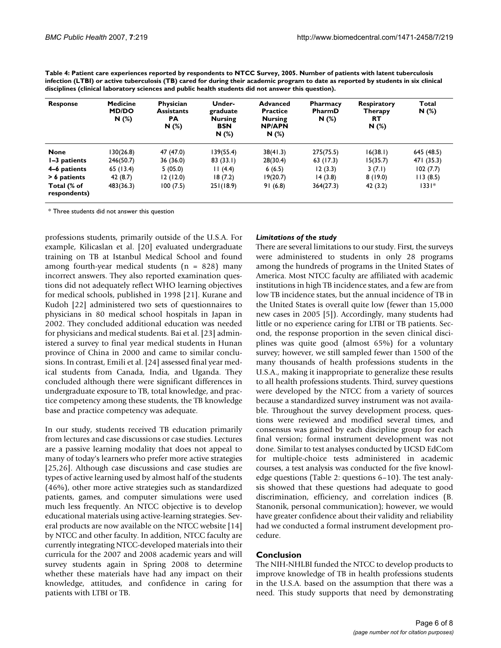| <b>Response</b>             | <b>Medicine</b><br><b>MD/DO</b><br>N(%) | Physician<br><b>Assistants</b><br><b>PA</b><br>N(%) | Under-<br>graduate<br><b>Nursing</b><br>BSN<br>N(%) | <b>Advanced</b><br><b>Practice</b><br><b>Nursing</b><br><b>NP/APN</b><br>N(%) | <b>Pharmacy</b><br>PharmD<br>N(%) | <b>Respiratory</b><br>Therapy<br>RТ<br>N(%) | Total<br>$N(\%)$ |
|-----------------------------|-----------------------------------------|-----------------------------------------------------|-----------------------------------------------------|-------------------------------------------------------------------------------|-----------------------------------|---------------------------------------------|------------------|
| <b>None</b>                 | 130(26.8)                               | 47 (47.0)                                           | 139(55.4)                                           | 38(41.3)                                                                      | 275(75.5)                         | 16(38.1)                                    | 645 (48.5)       |
| I-3 patients                | 246(50.7)                               | 36(36.0)                                            | 83(33.1)                                            | 28(30.4)                                                                      | 63 (17.3)                         | 15(35.7)                                    | 471 (35.3)       |
| 4–6 patients                | 65(13.4)                                | 5(05.0)                                             | 11(4.4)                                             | 6(6.5)                                                                        | 12(3.3)                           | 3(7.1)                                      | 102(7.7)         |
| > 6 patients                | 42 (8.7)                                | 12(12.0)                                            | 18(7.2)                                             | 19(20.7)                                                                      | 14(3.8)                           | 8(19.0)                                     | 113(8.5)         |
| Total (% of<br>respondents) | 483(36.3)                               | 100(7.5)                                            | 251(18.9)                                           | 91(6.8)                                                                       | 364(27.3)                         | 42(3.2)                                     | $1331*$          |

**Table 4: Patient care experiences reported by respondents to NTCC Survey, 2005. Number of patients with latent tuberculosis infection (LTBI) or active tuberculosis (TB) cared for during their academic program to date as reported by students in six clinical disciplines (clinical laboratory sciences and public health students did not answer this question).**

\* Three students did not answer this question

professions students, primarily outside of the U.S.A. For example, Kilicaslan et al. [20] evaluated undergraduate training on TB at Istanbul Medical School and found among fourth-year medical students  $(n = 828)$  many incorrect answers. They also reported examination questions did not adequately reflect WHO learning objectives for medical schools, published in 1998 [21]. Kurane and Kudoh [22] administered two sets of questionnaires to physicians in 80 medical school hospitals in Japan in 2002. They concluded additional education was needed for physicians and medical students. Bai et al. [23] administered a survey to final year medical students in Hunan province of China in 2000 and came to similar conclusions. In contrast, Emili et al. [24] assessed final year medical students from Canada, India, and Uganda. They concluded although there were significant differences in undergraduate exposure to TB, total knowledge, and practice competency among these students, the TB knowledge base and practice competency was adequate.

In our study, students received TB education primarily from lectures and case discussions or case studies. Lectures are a passive learning modality that does not appeal to many of today's learners who prefer more active strategies [25,26]. Although case discussions and case studies are types of active learning used by almost half of the students (46%), other more active strategies such as standardized patients, games, and computer simulations were used much less frequently. An NTCC objective is to develop educational materials using active-learning strategies. Several products are now available on the NTCC website [14] by NTCC and other faculty. In addition, NTCC faculty are currently integrating NTCC-developed materials into their curricula for the 2007 and 2008 academic years and will survey students again in Spring 2008 to determine whether these materials have had any impact on their knowledge, attitudes, and confidence in caring for patients with LTBI or TB.

#### *Limitations of the study*

There are several limitations to our study. First, the surveys were administered to students in only 28 programs among the hundreds of programs in the United States of America. Most NTCC faculty are affiliated with academic institutions in high TB incidence states, and a few are from low TB incidence states, but the annual incidence of TB in the United States is overall quite low (fewer than 15,000 new cases in 2005 [5]). Accordingly, many students had little or no experience caring for LTBI or TB patients. Second, the response proportion in the seven clinical disciplines was quite good (almost 65%) for a voluntary survey; however, we still sampled fewer than 1500 of the many thousands of health professions students in the U.S.A., making it inappropriate to generalize these results to all health professions students. Third, survey questions were developed by the NTCC from a variety of sources because a standardized survey instrument was not available. Throughout the survey development process, questions were reviewed and modified several times, and consensus was gained by each discipline group for each final version; formal instrument development was not done. Similar to test analyses conducted by UCSD EdCom for multiple-choice tests administered in academic courses, a test analysis was conducted for the five knowledge questions (Table 2: questions 6–10). The test analysis showed that these questions had adequate to good discrimination, efficiency, and correlation indices (B. Stanonik, personal communication); however, we would have greater confidence about their validity and reliability had we conducted a formal instrument development procedure.

### **Conclusion**

The NIH-NHLBI funded the NTCC to develop products to improve knowledge of TB in health professions students in the U.S.A. based on the assumption that there was a need. This study supports that need by demonstrating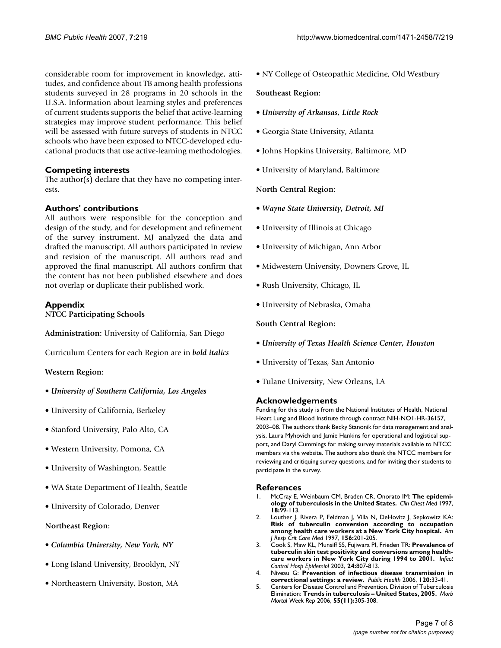considerable room for improvement in knowledge, attitudes, and confidence about TB among health professions students surveyed in 28 programs in 20 schools in the U.S.A. Information about learning styles and preferences of current students supports the belief that active-learning strategies may improve student performance. This belief will be assessed with future surveys of students in NTCC schools who have been exposed to NTCC-developed educational products that use active-learning methodologies.

#### **Competing interests**

The author(s) declare that they have no competing interests.

#### **Authors' contributions**

All authors were responsible for the conception and design of the study, and for development and refinement of the survey instrument. MJ analyzed the data and drafted the manuscript. All authors participated in review and revision of the manuscript. All authors read and approved the final manuscript. All authors confirm that the content has not been published elsewhere and does not overlap or duplicate their published work.

### **Appendix**

**NTCC Participating Schools**

**Administration:** University of California, San Diego

Curriculum Centers for each Region are in *bold italics*

#### **Western Region:**

- *University of Southern California, Los Angeles*
- University of California, Berkeley
- Stanford University, Palo Alto, CA
- Western University, Pomona, CA
- University of Washington, Seattle
- WA State Department of Health, Seattle
- University of Colorado, Denver

#### **Northeast Region:**

- *Columbia University, New York, NY*
- Long Island University, Brooklyn, NY
- Northeastern University, Boston, MA

• NY College of Osteopathic Medicine, Old Westbury

#### **Southeast Region:**

- *University of Arkansas, Little Rock*
- Georgia State University, Atlanta
- Johns Hopkins University, Baltimore, MD
- University of Maryland, Baltimore

**North Central Region:**

- *Wayne State University, Detroit, MI*
- University of Illinois at Chicago
- University of Michigan, Ann Arbor
- Midwestern University, Downers Grove, IL
- Rush University, Chicago, IL
- University of Nebraska, Omaha

#### **South Central Region:**

- *University of Texas Health Science Center, Houston*
- University of Texas, San Antonio
- Tulane University, New Orleans, LA

#### **Acknowledgements**

Funding for this study is from the National Institutes of Health, National Heart Lung and Blood Institute through contract NIH-NO1-HR-36157, 2003–08. The authors thank Becky Stanonik for data management and analysis, Laura Myhovich and Jamie Hankins for operational and logistical support, and Daryl Cummings for making survey materials available to NTCC members via the website. The authors also thank the NTCC members for reviewing and critiquing survey questions, and for inviting their students to participate in the survey.

#### **References**

- 1. McCray E, Weinbaum CM, Braden CR, Onorato IM: **[The epidemi](http://www.ncbi.nlm.nih.gov/entrez/query.fcgi?cmd=Retrieve&db=PubMed&dopt=Abstract&list_uids=9098614)[ology of tuberculosis in the United States.](http://www.ncbi.nlm.nih.gov/entrez/query.fcgi?cmd=Retrieve&db=PubMed&dopt=Abstract&list_uids=9098614)** *Clin Chest Med* 1997, **18:**99-113.
- 2. Louther J, Rivera P, Feldman J, Villa N, DeHovitz J, Sepkowitz KA: **[Risk of tuberculin conversion according to occupation](http://www.ncbi.nlm.nih.gov/entrez/query.fcgi?cmd=Retrieve&db=PubMed&dopt=Abstract&list_uids=9230748) [among health care workers at a New York City hospital.](http://www.ncbi.nlm.nih.gov/entrez/query.fcgi?cmd=Retrieve&db=PubMed&dopt=Abstract&list_uids=9230748)** *Am J Resp Crit Care Med* 1997, **156:**201-205.
- 3. Cook S, Maw KL, Munsiff SS, Fujiwara PI, Frieden TR: **[Prevalence of](http://www.ncbi.nlm.nih.gov/entrez/query.fcgi?cmd=Retrieve&db=PubMed&dopt=Abstract&list_uids=14649767) [tuberculin skin test positivity and conversions among health](http://www.ncbi.nlm.nih.gov/entrez/query.fcgi?cmd=Retrieve&db=PubMed&dopt=Abstract&list_uids=14649767)[care workers in New York City during 1994 to 2001.](http://www.ncbi.nlm.nih.gov/entrez/query.fcgi?cmd=Retrieve&db=PubMed&dopt=Abstract&list_uids=14649767)** *Infect Control Hosp Epidemiol* 2003, **24:**807-813.
- 4. Niveau G: **[Prevention of infectious disease transmission in](http://www.ncbi.nlm.nih.gov/entrez/query.fcgi?cmd=Retrieve&db=PubMed&dopt=Abstract&list_uids=16129465) [correctional settings: a review.](http://www.ncbi.nlm.nih.gov/entrez/query.fcgi?cmd=Retrieve&db=PubMed&dopt=Abstract&list_uids=16129465)** *Public Health* 2006, **120:**33-41.
- 5. Centers for Disease Control and Prevention. Division of Tuberculosis Elimination: **Trends in tuberculosis – United States, 2005.** *Morb Mortal Week Rep* 2006, **55(11):**305-308.